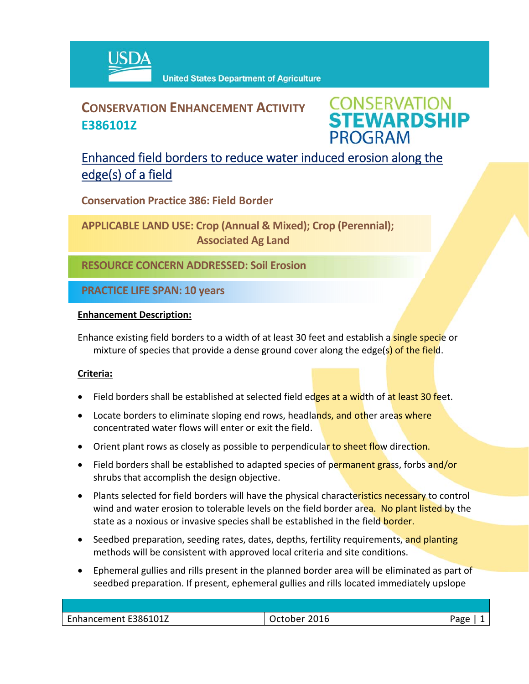

## **CONSERVATION ENHANCEMENT ACTIVITY E386101Z**

**CONSERVATION<br>STEWARDSHIP PROGRAM** 

## Enhanced field borders to reduce water induced erosion along the edge(s) of a field

**Conservation Practice 386: Field Border**

**APPLICABLE LAND USE: Crop (Annual & Mixed); Crop (Perennial); Associated Ag Land**

**RESOURCE CONCERN ADDRESSED: Soil Erosion**

**PRACTICE LIFE SPAN: 10 years**

#### **Enhancement Description:**

Enhance existing field borders to a width of at least 30 feet and establish a **single speci**e or mixture of species that provide a dense ground cover along the edge(s) of the field.

### **Criteria:**

- Field borders shall be established at selected field edges at a width of at least 30 feet.
- Locate borders to eliminate sloping end rows, headlands, and other areas where concentrated water flows will enter or exit the field.
- Orient plant rows as closely as possible to perpendicular to sheet flow direction.
- Field borders shall be established to adapted species of permanent grass, forbs and/or shrubs that accomplish the design objective.
- Plants selected for field borders will have the physical characteristics necessary to control wind and water erosion to tolerable levels on the field border area. No plant listed by the state as a noxious or invasive species shall be established in the field **border.**
- Seedbed preparation, seeding rates, dates, depths, fertility requirements, and planting methods will be consistent with approved local criteria and site conditions.
- Ephemeral gullies and rills present in the planned border area will be eliminated as part of seedbed preparation. If present, ephemeral gullies and rills located immediately upslope

| Enhancement E386101Z | 2016<br>October | Page |
|----------------------|-----------------|------|
|                      |                 |      |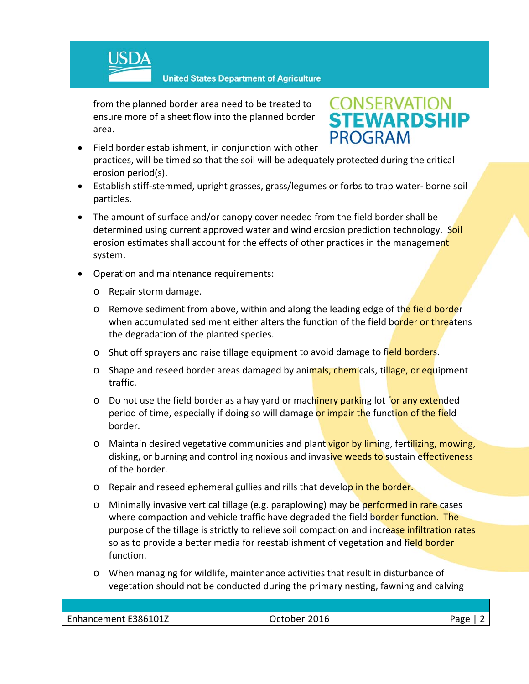

**United States Department of Agriculture** 

from the planned border area need to be treated to ensure more of a sheet flow into the planned border area.

# **CONSERVATION<br>STEWARDSHIP PROGRAM**

- Field border establishment, in conjunction with other practices, will be timed so that the soil will be adequately protected during the critical erosion period(s).
- Establish stiff‐stemmed, upright grasses, grass/legumes or forbs to trap water‐ borne soil particles.
- The amount of surface and/or canopy cover needed from the field border shall be determined using current approved water and wind erosion prediction technology. Soil erosion estimates shall account for the effects of other practices in the management system.
- Operation and maintenance requirements:
	- o Repair storm damage.
	- o Remove sediment from above, within and along the leading edge of the field border when accumulated sediment either alters the function of the field border or threatens the degradation of the planted species.
	- o Shut off sprayers and raise tillage equipment to avoid damage to field borders.
	- o Shape and reseed border areas damaged by animals, chemicals, tillage, or equipment traffic.
	- o Do not use the field border as a hay yard or machinery parking lot for any extended period of time, especially if doing so will damage or impair the function of the field border.
	- o Maintain desired vegetative communities and plant vigor by liming, fertilizing, mowing, disking, or burning and controlling noxious and invasive weeds to sustain effectiveness of the border.
	- o Repair and reseed ephemeral gullies and rills that develop in the border.
	- o Minimally invasive vertical tillage (e.g. paraplowing) may be performed in rare cases where compaction and vehicle traffic have degraded the field border function. The purpose of the tillage is strictly to relieve soil compaction and increase infiltration rates so as to provide a better media for reestablishment of vegetation and field border function.
	- o When managing for wildlife, maintenance activities that result in disturbance of vegetation should not be conducted during the primary nesting, fawning and calving

| Enhancement E386101Z | October 2016 | Page |
|----------------------|--------------|------|
|                      |              |      |